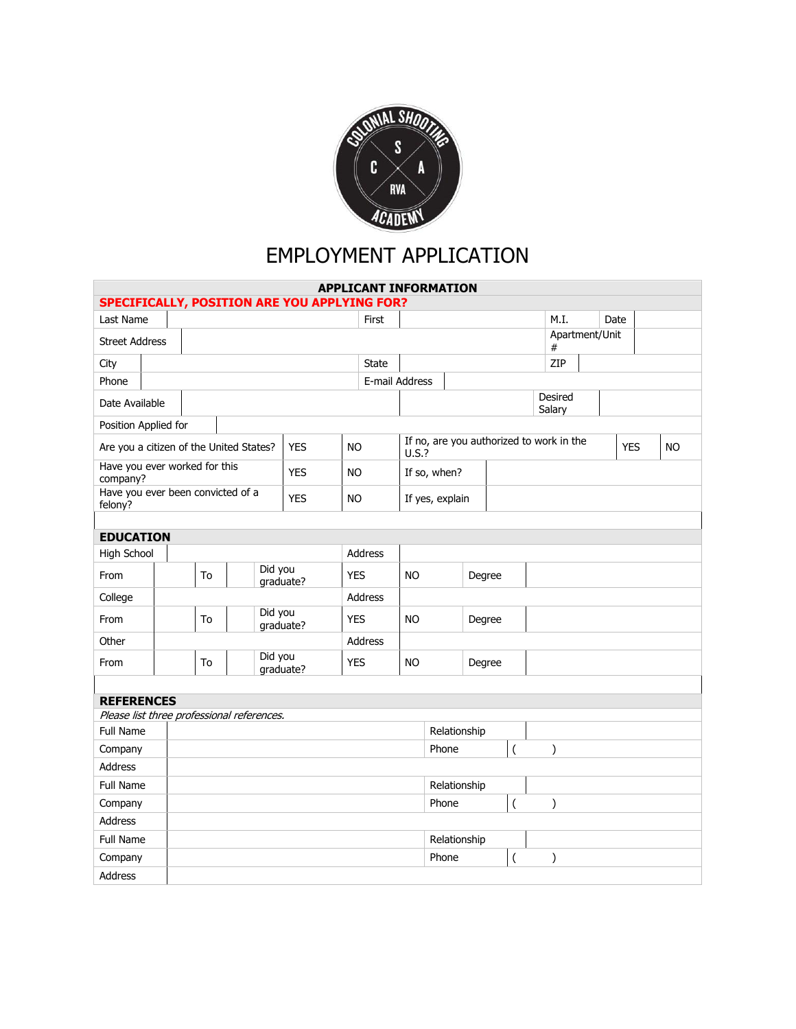

## EMPLOYMENT APPLICATION

| <b>APPLICANT INFORMATION</b>                            |  |                |    |                      |         |            |                |            |                                                      |                                                    |              |                   |                |     |  |  |            |           |
|---------------------------------------------------------|--|----------------|----|----------------------|---------|------------|----------------|------------|------------------------------------------------------|----------------------------------------------------|--------------|-------------------|----------------|-----|--|--|------------|-----------|
| <b>SPECIFICALLY, POSITION ARE YOU APPLYING FOR?</b>     |  |                |    |                      |         |            |                |            |                                                      |                                                    |              |                   |                |     |  |  |            |           |
| Last Name                                               |  | First          |    |                      |         |            |                |            |                                                      |                                                    |              | M.I.              | Date           |     |  |  |            |           |
| <b>Street Address</b>                                   |  |                |    |                      |         |            |                |            |                                                      |                                                    |              | #                 | Apartment/Unit |     |  |  |            |           |
| City                                                    |  | <b>State</b>   |    |                      |         |            |                |            |                                                      |                                                    |              |                   |                | ZIP |  |  |            |           |
| Phone                                                   |  | E-mail Address |    |                      |         |            |                |            |                                                      |                                                    |              |                   |                |     |  |  |            |           |
| Date Available                                          |  |                |    |                      |         |            |                |            |                                                      |                                                    |              | Desired<br>Salary |                |     |  |  |            |           |
| Position Applied for                                    |  |                |    |                      |         |            |                |            |                                                      |                                                    |              |                   |                |     |  |  |            |           |
| Are you a citizen of the United States?<br><b>YES</b>   |  |                |    |                      |         |            | <b>NO</b>      |            | If no, are you authorized to work in the<br>$U.S.$ ? |                                                    |              |                   |                |     |  |  | <b>YES</b> | <b>NO</b> |
| Have you ever worked for this<br><b>YES</b><br>company? |  |                |    |                      |         | <b>NO</b>  |                |            | If so, when?                                         |                                                    |              |                   |                |     |  |  |            |           |
| Have you ever been convicted of a<br>felony?            |  |                |    |                      |         | <b>YES</b> | <b>NO</b>      |            | If yes, explain                                      |                                                    |              |                   |                |     |  |  |            |           |
|                                                         |  |                |    |                      |         |            |                |            |                                                      |                                                    |              |                   |                |     |  |  |            |           |
| <b>EDUCATION</b>                                        |  |                |    |                      |         |            |                |            |                                                      |                                                    |              |                   |                |     |  |  |            |           |
| High School                                             |  | Address        |    |                      |         |            |                |            |                                                      |                                                    |              |                   |                |     |  |  |            |           |
| From                                                    |  |                | To | Did you<br>graduate? |         |            |                | <b>YES</b> |                                                      |                                                    | Degree       |                   |                |     |  |  |            |           |
| College                                                 |  |                |    |                      |         |            |                | Address    |                                                      |                                                    |              |                   |                |     |  |  |            |           |
| From                                                    |  |                | To |                      | Did you | qraduate?  | <b>YES</b>     |            | <b>NO</b>                                            | Degree                                             |              |                   |                |     |  |  |            |           |
| Other                                                   |  |                |    |                      |         |            | <b>Address</b> |            |                                                      |                                                    |              |                   |                |     |  |  |            |           |
| From                                                    |  |                | To | Did you<br>qraduate? |         | <b>YES</b> |                | <b>NO</b>  |                                                      |                                                    | Degree       |                   |                |     |  |  |            |           |
|                                                         |  |                |    |                      |         |            |                |            |                                                      |                                                    |              |                   |                |     |  |  |            |           |
| <b>REFERENCES</b>                                       |  |                |    |                      |         |            |                |            |                                                      |                                                    |              |                   |                |     |  |  |            |           |
| Please list three professional references.              |  |                |    |                      |         |            |                |            |                                                      |                                                    |              |                   |                |     |  |  |            |           |
| Full Name                                               |  |                |    |                      |         |            |                |            |                                                      |                                                    | Relationship |                   |                |     |  |  |            |           |
| Company                                                 |  |                |    |                      |         |            |                |            |                                                      | Phone<br>$\overline{\phantom{a}}$<br>$\mathcal{E}$ |              |                   |                |     |  |  |            |           |
| Address                                                 |  |                |    |                      |         |            |                |            |                                                      |                                                    |              |                   |                |     |  |  |            |           |
| Full Name                                               |  |                |    |                      |         |            |                |            |                                                      | Relationship                                       |              |                   |                |     |  |  |            |           |
| Company                                                 |  |                |    |                      |         |            |                |            |                                                      | $\overline{\phantom{a}}$<br>Phone<br>∖             |              |                   |                |     |  |  |            |           |
| <b>Address</b>                                          |  |                |    |                      |         |            |                |            |                                                      |                                                    |              |                   |                |     |  |  |            |           |
| <b>Full Name</b>                                        |  |                |    |                      |         |            |                |            |                                                      |                                                    | Relationship |                   |                |     |  |  |            |           |
| Company                                                 |  |                |    |                      |         |            |                |            |                                                      | Phone<br>$\overline{\phantom{a}}$<br>$\mathcal{E}$ |              |                   |                |     |  |  |            |           |
| <b>Address</b>                                          |  |                |    |                      |         |            |                |            |                                                      |                                                    |              |                   |                |     |  |  |            |           |